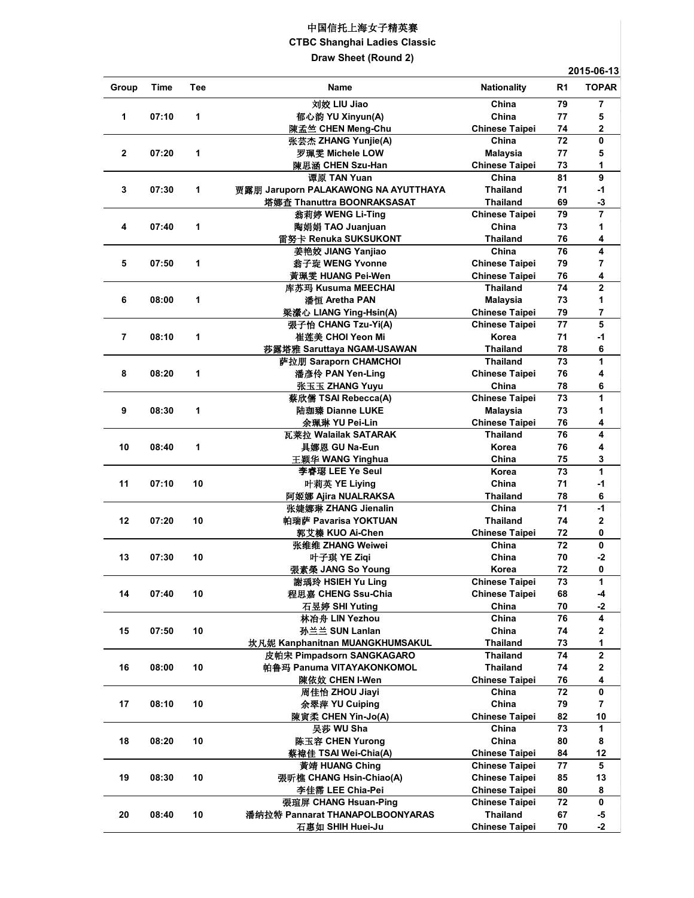## 中国信托上海女子精英赛

**CTBC Shanghai Ladies Classic**

**Draw Sheet (Round 2)**

**2015-06-13**

| Group          | Time  | Tee | Name                                 | <b>Nationality</b>    | R <sub>1</sub>  | <b>TOPAR</b>   |
|----------------|-------|-----|--------------------------------------|-----------------------|-----------------|----------------|
|                |       |     | 刘姣 LIU Jiao                          | China                 | 79              | 7              |
| 1              | 07:10 | 1   | 郁心韵 YU Xinyun(A)                     | China                 | 77              | 5              |
|                |       |     | 陳孟竺 CHEN Meng-Chu                    | <b>Chinese Taipei</b> | 74              | 2              |
|                |       |     | 张芸杰 ZHANG Yunjie(A)                  | China                 | 72              | 0              |
| $\mathbf{2}$   | 07:20 | 1   | 罗珮雯 Michele LOW                      | <b>Malaysia</b>       | 77              | 5              |
|                |       |     | 陳思涵 CHEN Szu-Han                     | <b>Chinese Taipei</b> | 73              | 1              |
|                |       |     | 谭原 TAN Yuan                          | China                 | 81              | 9              |
| 3              | 07:30 | 1   | 贾露朋 Jaruporn PALAKAWONG NA AYUTTHAYA | <b>Thailand</b>       | 71              | $-1$           |
|                |       |     | 塔娜查 Thanuttra BOONRAKSASAT           | <b>Thailand</b>       | 69              | $-3$           |
|                |       |     | 翁莉婷 WENG Li-Ting                     | <b>Chinese Taipei</b> | 79              | $\overline{7}$ |
| 4              | 07:40 | 1   | 陶娟娟 TAO Juanjuan                     | China                 | 73              | 1              |
|                |       |     | 雷努卡 Renuka SUKSUKONT                 | <b>Thailand</b>       | 76              | 4              |
|                |       |     | 姜艳姣 JIANG Yanjiao                    | China                 | 76              | 4              |
| 5              | 07:50 | 1   | 翁子琁 WENG Yvonne                      | <b>Chinese Taipei</b> | 79              | 7              |
|                |       |     | 黄珮雯 HUANG Pei-Wen                    | <b>Chinese Taipei</b> | 76              | 4              |
|                |       |     | 库苏玛 Kusuma MEECHAI                   | <b>Thailand</b>       | 74              | 2              |
| 6              | 08:00 | 1   | 潘恒 Aretha PAN                        | <b>Malaysia</b>       | 73              | 1              |
|                |       |     | 梁瀠心 LIANG Ying-Hsin(A)               | <b>Chinese Taipei</b> | 79              | 7              |
|                |       |     | 張子怡 CHANG Tzu-Yi(A)                  | <b>Chinese Taipei</b> | $\overline{77}$ | 5              |
| $\overline{7}$ | 08:10 | 1   | 崔莲美 CHOI Yeon Mi                     | Korea                 | 71              | $-1$           |
|                |       |     | 莎露塔雅 Saruttaya NGAM-USAWAN           | <b>Thailand</b>       | 78              | 6              |
|                |       |     | 萨拉朋 Saraporn CHAMCHOI                | <b>Thailand</b>       | 73              | 1              |
| 8              | 08:20 | 1   | 潘彥伶 PAN Yen-Ling                     | <b>Chinese Taipei</b> | 76              | 4              |
|                |       |     | 张玉玉 ZHANG Yuyu                       | China                 | 78              | 6              |
|                |       |     | 蔡欣儒 TSAI Rebecca(A)                  | <b>Chinese Taipei</b> | 73              | 1              |
| 9              | 08:30 | 1   | 陆珈臻 Dianne LUKE                      | <b>Malaysia</b>       | 73              | 1              |
|                |       |     | 余珮琳 YU Pei-Lin                       | <b>Chinese Taipei</b> | 76              | 4              |
|                |       |     | 瓦莱拉 Walailak SATARAK                 | <b>Thailand</b>       | 76              | 4              |
| 10             | 08:40 | 1   | 具娜恩 GU Na-Eun                        | Korea                 | 76              | 4              |
|                |       |     | 王颖华 WANG Yinghua                     | China                 | 75              | 3              |
|                |       |     | 李睿璱 LEE Ye Seul                      | Korea                 | 73              | 1              |
| 11             | 07:10 | 10  | 叶莉英 YE Liying                        | China                 | 71              | $-1$           |
|                |       |     | 阿姬娜 Ajira NUALRAKSA                  | <b>Thailand</b>       | 78              | 6              |
|                |       |     | 张婕娜琳 ZHANG Jienalin                  | China                 | 71              | $-1$           |
| 12             | 07:20 | 10  | 帕瑞萨 Pavarisa YOKTUAN                 | <b>Thailand</b>       | 74              | $\mathbf 2$    |
|                |       |     | 郭艾榛 KUO Ai-Chen                      | <b>Chinese Taipei</b> | 72              | 0              |
|                |       |     | 张维维 ZHANG Weiwei                     | China                 | 72              | 0              |
|                | 07:30 | 10  | 叶子琪 YE Ziqi                          | China                 |                 | $\mathbf{-2}$  |
| 13             |       |     |                                      |                       | 70<br>72        |                |
|                |       |     | 張素榮 JANG So Young                    | Korea                 | 73              | 0<br>1         |
|                |       |     | 謝瑀玲 HSIEH Yu Ling                    | <b>Chinese Taipei</b> |                 |                |
| 14             | 07:40 | 10  | 程思嘉 CHENG Ssu-Chia                   | <b>Chinese Taipei</b> | 68              | -4             |
|                |       |     | 石昱婷 SHI Yuting                       | China                 | 70              | -2             |
|                |       |     | 林冶舟 LIN Yezhou                       | China                 | 76              | 4              |
| 15             | 07:50 | 10  | 孙兰兰 SUN Lanlan                       | China                 | 74              | 2              |
|                |       |     | 坎凡妮 Kanphanitnan MUANGKHUMSAKUL      | <b>Thailand</b>       | 73              | 1              |
|                |       |     | 皮帕宋 Pimpadsorn SANGKAGARO            | <b>Thailand</b>       | 74              | 2              |
| 16             | 08:00 | 10  | 帕鲁玛 Panuma VITAYAKONKOMOL            | <b>Thailand</b>       | 74              | 2              |
|                |       |     | 陳依妏 CHEN I-Wen                       | <b>Chinese Taipei</b> | 76              | 4              |
|                |       |     | 周佳怡 ZHOU Jiayi                       | China                 | 72              | 0              |
| 17             | 08:10 | 10  | 余翠萍 YU Cuiping                       | China                 | 79              | 7              |
|                |       |     | 陳寅柔 CHEN Yin-Jo(A)                   | <b>Chinese Taipei</b> | 82              | 10             |
|                |       |     | 吴莎 WU Sha                            | China                 | 73              | 1              |
| 18             | 08:20 | 10  | 陈玉容 CHEN Yurong                      | China                 | 80              | 8              |
|                |       |     | 蔡褘佳 TSAI Wei-Chia(A)                 | <b>Chinese Taipei</b> | 84              | 12             |
|                |       |     | 黃靖 HUANG Ching                       | <b>Chinese Taipei</b> | ${\bf 77}$      | 5              |
| 19             | 08:30 | 10  | 張昕樵 CHANG Hsin-Chiao(A)              | <b>Chinese Taipei</b> | 85              | 13             |
|                |       |     | 李佳霈 LEE Chia-Pei                     | <b>Chinese Taipei</b> | 80              | 8              |
|                |       |     | 張瑄屏 CHANG Hsuan-Ping                 | <b>Chinese Taipei</b> | 72              | 0              |
| 20             | 08:40 | 10  | 潘纳拉特 Pannarat THANAPOLBOONYARAS      | <b>Thailand</b>       | 67              | -5             |
|                |       |     | 石惠如 SHIH Huei-Ju                     | <b>Chinese Taipei</b> | 70              | $-2$           |